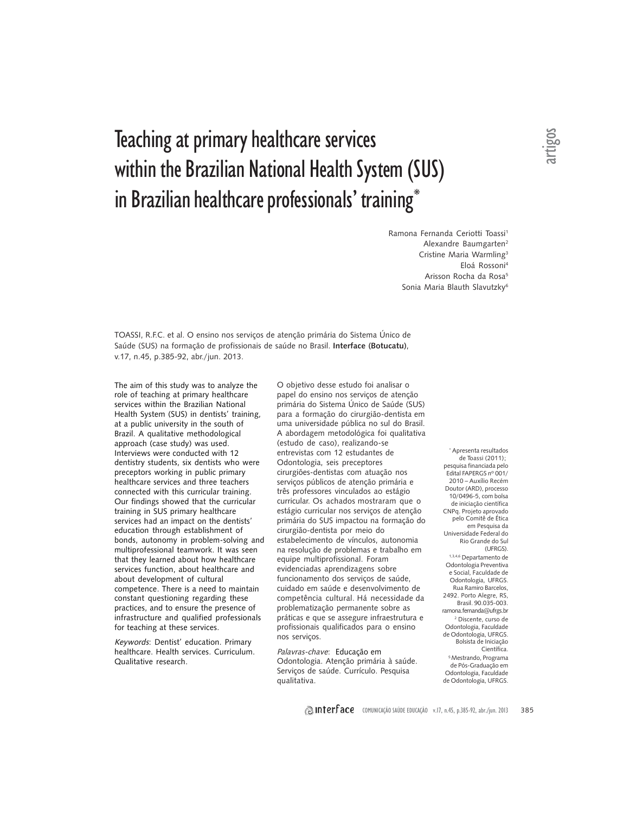# Teaching at primary healthcare services within the Brazilian National Health System (SUS) in Brazilian healthcare professionals' training\*

Ramona Fernanda Ceriotti Toassi<sup>1</sup> Alexandre Baumgarten2 Cristine Maria Warmling<sup>3</sup> Eloá Rossoni4 Arisson Rocha da Rosa<sup>5</sup> Sonia Maria Blauth Slavutzky6

TOASSI, R.F.C. et al. O ensino nos serviços de atenção primária do Sistema Único de Saúde (SUS) na formação de profissionais de saúde no Brasil. **Interface (Botucatu)**, v.17, n.45, p.385-92, abr./jun. 2013.

The aim of this study was to analyze the role of teaching at primary healthcare services within the Brazilian National Health System (SUS) in dentists' training, at a public university in the south of Brazil. A qualitative methodological approach (case study) was used. Interviews were conducted with 12 dentistry students, six dentists who were preceptors working in public primary healthcare services and three teachers connected with this curricular training. Our findings showed that the curricular training in SUS primary healthcare services had an impact on the dentists' education through establishment of bonds, autonomy in problem-solving and multiprofessional teamwork. It was seen that they learned about how healthcare services function, about healthcare and about development of cultural competence. There is a need to maintain constant questioning regarding these practices, and to ensure the presence of infrastructure and qualified professionals for teaching at these services.

Keywords: Dentist' education. Primary healthcare. Health services. Curriculum. Qualitative research.

O objetivo desse estudo foi analisar o papel do ensino nos serviços de atenção primária do Sistema Único de Saúde (SUS) para a formação do cirurgião-dentista em uma universidade pública no sul do Brasil. A abordagem metodológica foi qualitativa (estudo de caso), realizando-se entrevistas com 12 estudantes de Odontologia, seis preceptores cirurgiões-dentistas com atuação nos serviços públicos de atenção primária e três professores vinculados ao estágio curricular. Os achados mostraram que o estágio curricular nos serviços de atenção primária do SUS impactou na formação do cirurgião-dentista por meio do estabelecimento de vínculos, autonomia na resolução de problemas e trabalho em equipe multiprofissional. Foram evidenciadas aprendizagens sobre funcionamento dos serviços de saúde, cuidado em saúde e desenvolvimento de competência cultural. Há necessidade da problematização permanente sobre as práticas e que se assegure infraestrutura e profissionais qualificados para o ensino nos serviços.

Palavras-chave: Educação em Odontologia. Atenção primária à saúde. Serviços de saúde. Currículo. Pesquisa qualitativa.

\* Apresenta resultados de Toassi (2011); pesquisa financiada pelo Edital FAPERGS nº 001/ 2010 – Auxílio Recém Doutor (ARD), processo 10/0496-5, com bolsa de iniciação científica CNPq. Projeto aprovado pelo Comitê de Ética em Pesquisa da Universidade Federal do Rio Grande do Sul (UFRGS). 1,3,4,6 Departamento de Odontologia Preventiva e Social, Faculdade de Odontologia, UFRGS. Rua Ramiro Barcelos, 2492. Porto Alegre, RS, Brasil. 90.035-003. ramona.fernanda@ufrgs.br 2 Discente, curso de Odontologia, Faculdade de Odontologia, UFRGS. Bolsista de Iniciação Científica. 5 Mestrando, Programa de Pós-Graduação em Odontologia, Faculdade de Odontologia, UFRGS.

artigos

**Interface** comunicação saúde educação v.17, n.45, p.385-92, abr./jun. 2013 385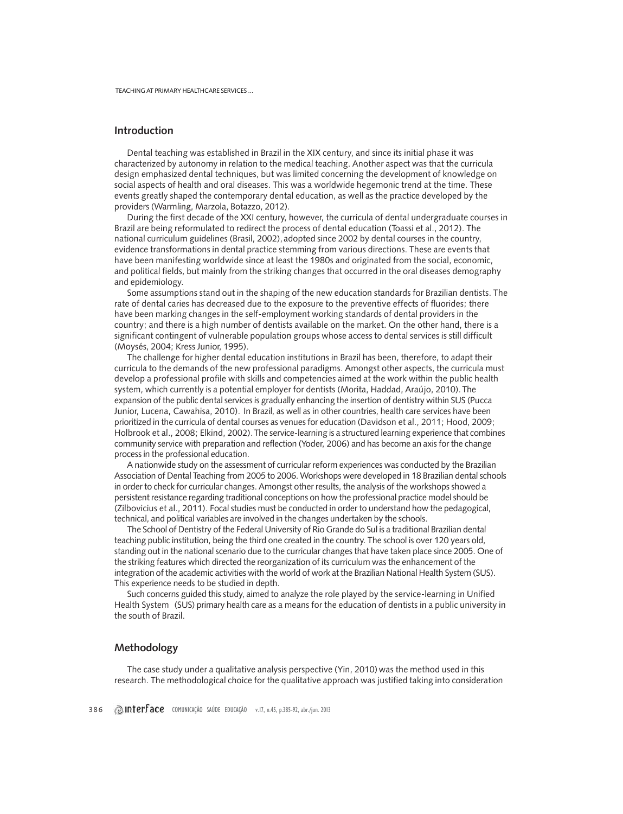# **Introduction**

Dental teaching was established in Brazil in the XIX century, and since its initial phase it was characterized by autonomy in relation to the medical teaching. Another aspect was that the curricula design emphasized dental techniques, but was limited concerning the development of knowledge on social aspects of health and oral diseases. This was a worldwide hegemonic trend at the time. These events greatly shaped the contemporary dental education, as well as the practice developed by the providers (Warmling, Marzola, Botazzo, 2012).

During the first decade of the XXI century, however, the curricula of dental undergraduate courses in Brazil are being reformulated to redirect the process of dental education (Toassi et al., 2012). The national curriculum guidelines (Brasil, 2002), adopted since 2002 by dental courses in the country, evidence transformations in dental practice stemming from various directions. These are events that have been manifesting worldwide since at least the 1980s and originated from the social, economic, and political fields, but mainly from the striking changes that occurred in the oral diseases demography and epidemiology.

Some assumptions stand out in the shaping of the new education standards for Brazilian dentists. The rate of dental caries has decreased due to the exposure to the preventive effects of fluorides; there have been marking changes in the self-employment working standards of dental providers in the country; and there is a high number of dentists available on the market. On the other hand, there is a significant contingent of vulnerable population groups whose access to dental services is still difficult (Moysés, 2004; Kress Junior, 1995).

The challenge for higher dental education institutions in Brazil has been, therefore, to adapt their curricula to the demands of the new professional paradigms. Amongst other aspects, the curricula must develop a professional profile with skills and competencies aimed at the work within the public health system, which currently is a potential employer for dentists (Morita, Haddad, Araújo, 2010). The expansion of the public dental services is gradually enhancing the insertion of dentistry within SUS (Pucca Junior, Lucena, Cawahisa, 2010). In Brazil, as well as in other countries, health care services have been prioritized in the curricula of dental courses as venues for education (Davidson et al., 2011; Hood, 2009; Holbrook et al., 2008; Elkind, 2002).The service-learning is a structured learning experience that combines community service with preparation and reflection (Yoder, 2006) and has become an axis for the change process in the professional education.

A nationwide study on the assessment of curricular reform experiences was conducted by the Brazilian Association of Dental Teaching from 2005 to 2006. Workshops were developed in 18 Brazilian dental schools in order to check for curricular changes. Amongst other results, the analysis of the workshops showed a persistent resistance regarding traditional conceptions on how the professional practice model should be (Zilbovicius et al., 2011). Focal studies must be conducted in order to understand how the pedagogical, technical, and political variables are involved in the changes undertaken by the schools.

The School of Dentistry of the Federal University of Rio Grande do Sul is a traditional Brazilian dental teaching public institution, being the third one created in the country. The school is over 120 years old, standing out in the national scenario due to the curricular changes that have taken place since 2005. One of the striking features which directed the reorganization of its curriculum was the enhancement of the integration of the academic activities with the world of work at the Brazilian National Health System (SUS). This experience needs to be studied in depth.

Such concerns guided this study, aimed to analyze the role played by the service-learning in Unified Health System (SUS) primary health care as a means for the education of dentists in a public university in the south of Brazil.

## **Methodology**

The case study under a qualitative analysis perspective (Yin, 2010) was the method used in this research. The methodological choice for the qualitative approach was justified taking into consideration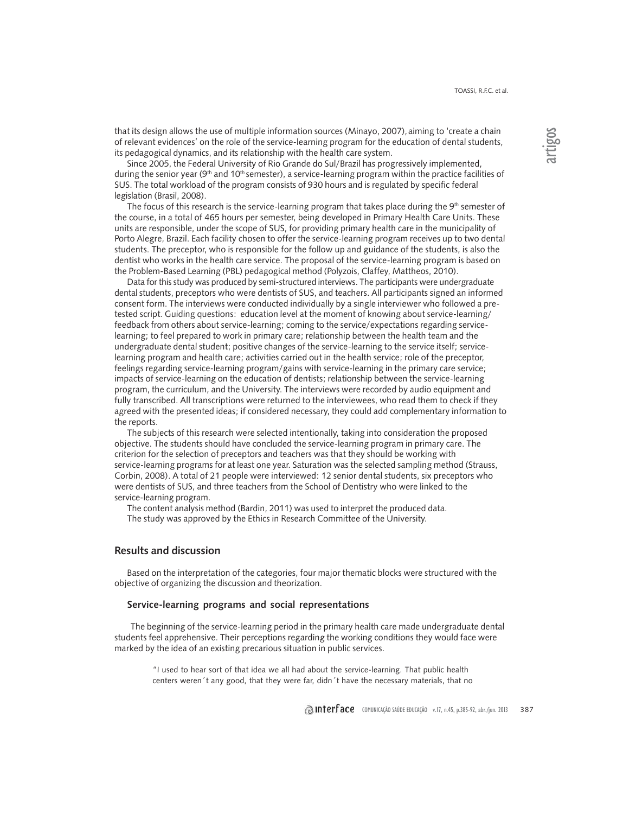that its design allows the use of multiple information sources (Minayo, 2007),aiming to 'create a chain of relevant evidences' on the role of the service-learning program for the education of dental students, its pedagogical dynamics, and its relationship with the health care system.

Since 2005, the Federal University of Rio Grande do Sul/Brazil has progressively implemented, during the senior year (9<sup>th</sup> and 10<sup>th</sup> semester), a service-learning program within the practice facilities of SUS. The total workload of the program consists of 930 hours and is regulated by specific federal legislation (Brasil, 2008).

The focus of this research is the service-learning program that takes place during the  $9<sup>th</sup>$  semester of the course, in a total of 465 hours per semester, being developed in Primary Health Care Units. These units are responsible, under the scope of SUS, for providing primary health care in the municipality of Porto Alegre, Brazil. Each facility chosen to offer the service-learning program receives up to two dental students. The preceptor, who is responsible for the follow up and guidance of the students, is also the dentist who works in the health care service. The proposal of the service-learning program is based on the Problem-Based Learning (PBL) pedagogical method (Polyzois, Claffey, Mattheos, 2010).

Data for this study was produced by semi-structured interviews. The participants were undergraduate dental students, preceptors who were dentists of SUS, and teachers. All participants signed an informed consent form. The interviews were conducted individually by a single interviewer who followed a pretested script. Guiding questions: education level at the moment of knowing about service-learning/ feedback from others about service-learning; coming to the service/expectations regarding servicelearning; to feel prepared to work in primary care; relationship between the health team and the undergraduate dental student; positive changes of the service-learning to the service itself; servicelearning program and health care; activities carried out in the health service; role of the preceptor, feelings regarding service-learning program/gains with service-learning in the primary care service; impacts of service-learning on the education of dentists; relationship between the service-learning program, the curriculum, and the University. The interviews were recorded by audio equipment and fully transcribed. All transcriptions were returned to the interviewees, who read them to check if they agreed with the presented ideas; if considered necessary, they could add complementary information to the reports.

The subjects of this research were selected intentionally, taking into consideration the proposed objective. The students should have concluded the service-learning program in primary care. The criterion for the selection of preceptors and teachers was that they should be working with service-learning programs for at least one year. Saturation was the selected sampling method (Strauss, Corbin, 2008). A total of 21 people were interviewed: 12 senior dental students, six preceptors who were dentists of SUS, and three teachers from the School of Dentistry who were linked to the service-learning program.

The content analysis method (Bardin, 2011) was used to interpret the produced data. The study was approved by the Ethics in Research Committee of the University.

## **Results and discussion**

Based on the interpretation of the categories, four major thematic blocks were structured with the objective of organizing the discussion and theorization.

#### **Service-learning programs and social representations**

The beginning of the service-learning period in the primary health care made undergraduate dental students feel apprehensive. Their perceptions regarding the working conditions they would face were marked by the idea of an existing precarious situation in public services.

"I used to hear sort of that idea we all had about the service-learning. That public health centers weren´t any good, that they were far, didn´t have the necessary materials, that no artigos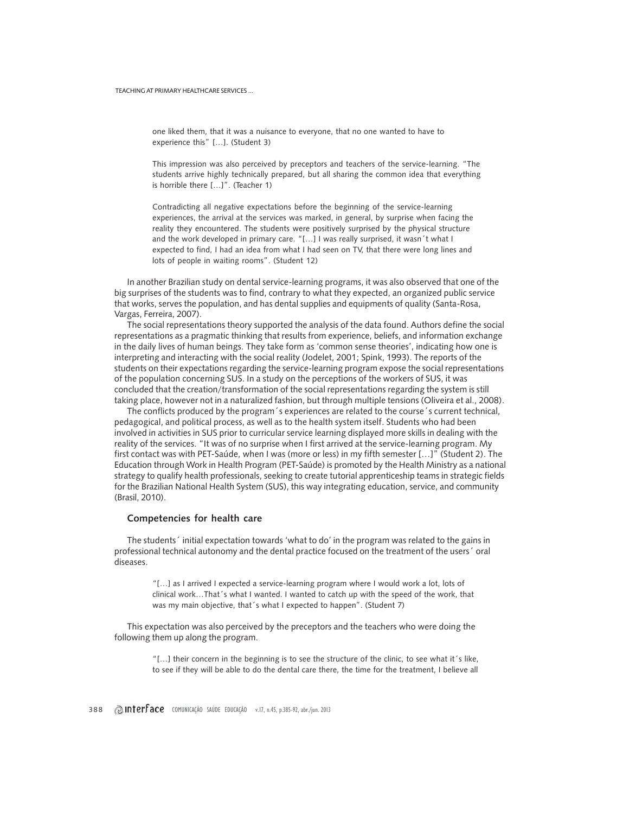one liked them, that it was a nuisance to everyone, that no one wanted to have to experience this" […]. (Student 3)

This impression was also perceived by preceptors and teachers of the service-learning. "The students arrive highly technically prepared, but all sharing the common idea that everything is horrible there […]". (Teacher 1)

Contradicting all negative expectations before the beginning of the service-learning experiences, the arrival at the services was marked, in general, by surprise when facing the reality they encountered. The students were positively surprised by the physical structure and the work developed in primary care. "[…] I was really surprised, it wasn´t what I expected to find, I had an idea from what I had seen on TV, that there were long lines and lots of people in waiting rooms". (Student 12)

In another Brazilian study on dental service-learning programs, it was also observed that one of the big surprises of the students was to find, contrary to what they expected, an organized public service that works, serves the population, and has dental supplies and equipments of quality (Santa-Rosa, Vargas, Ferreira, 2007).

The social representations theory supported the analysis of the data found. Authors define the social representations as a pragmatic thinking that results from experience, beliefs, and information exchange in the daily lives of human beings. They take form as 'common sense theories', indicating how one is interpreting and interacting with the social reality (Jodelet, 2001; Spink, 1993). The reports of the students on their expectations regarding the service-learning program expose the social representations of the population concerning SUS. In a study on the perceptions of the workers of SUS, it was concluded that the creation/transformation of the social representations regarding the system is still taking place, however not in a naturalized fashion, but through multiple tensions (Oliveira et al., 2008).

The conflicts produced by the program´s experiences are related to the course´s current technical, pedagogical, and political process, as well as to the health system itself. Students who had been involved in activities in SUS prior to curricular service learning displayed more skills in dealing with the reality of the services. "It was of no surprise when I first arrived at the service-learning program. My first contact was with PET-Saúde, when I was (more or less) in my fifth semester […]" (Student 2). The Education through Work in Health Program (PET-Saúde) is promoted by the Health Ministry as a national strategy to qualify health professionals, seeking to create tutorial apprenticeship teams in strategic fields for the Brazilian National Health System (SUS), this way integrating education, service, and community (Brasil, 2010).

#### **Competencies for health care**

The students´ initial expectation towards 'what to do' in the program was related to the gains in professional technical autonomy and the dental practice focused on the treatment of the users´ oral diseases.

"[…] as I arrived I expected a service-learning program where I would work a lot, lots of clinical work…That´s what I wanted. I wanted to catch up with the speed of the work, that was my main objective, that´s what I expected to happen". (Student 7)

This expectation was also perceived by the preceptors and the teachers who were doing the following them up along the program.

> "[…] their concern in the beginning is to see the structure of the clinic, to see what it´s like, to see if they will be able to do the dental care there, the time for the treatment, I believe all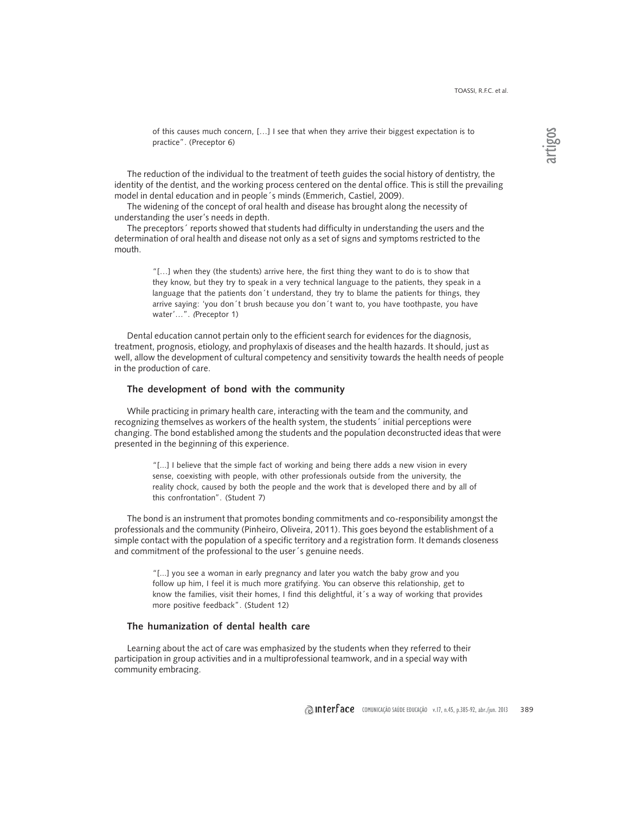of this causes much concern, […] I see that when they arrive their biggest expectation is to practice". (Preceptor 6)

The reduction of the individual to the treatment of teeth guides the social history of dentistry, the identity of the dentist, and the working process centered on the dental office. This is still the prevailing model in dental education and in people´s minds (Emmerich, Castiel, 2009).

The widening of the concept of oral health and disease has brought along the necessity of understanding the user's needs in depth.

The preceptors´ reports showed that students had difficulty in understanding the users and the determination of oral health and disease not only as a set of signs and symptoms restricted to the mouth.

> "[…] when they (the students) arrive here, the first thing they want to do is to show that they know, but they try to speak in a very technical language to the patients, they speak in a language that the patients don´t understand, they try to blame the patients for things, they arrive saying: 'you don´t brush because you don´t want to, you have toothpaste, you have water'…". (Preceptor 1)

Dental education cannot pertain only to the efficient search for evidences for the diagnosis, treatment, prognosis, etiology, and prophylaxis of diseases and the health hazards. It should, just as well, allow the development of cultural competency and sensitivity towards the health needs of people in the production of care.

### **The development of bond with the community**

While practicing in primary health care, interacting with the team and the community, and recognizing themselves as workers of the health system, the students´ initial perceptions were changing. The bond established among the students and the population deconstructed ideas that were presented in the beginning of this experience.

"[...] I believe that the simple fact of working and being there adds a new vision in every sense, coexisting with people, with other professionals outside from the university, the reality chock, caused by both the people and the work that is developed there and by all of this confrontation". (Student 7)

The bond is an instrument that promotes bonding commitments and co-responsibility amongst the professionals and the community (Pinheiro, Oliveira, 2011). This goes beyond the establishment of a simple contact with the population of a specific territory and a registration form. It demands closeness and commitment of the professional to the user´s genuine needs.

"[...] you see a woman in early pregnancy and later you watch the baby grow and you follow up him, I feel it is much more gratifying. You can observe this relationship, get to know the families, visit their homes, I find this delightful, it´s a way of working that provides more positive feedback". (Student 12)

#### **The humanization of dental health care**

Learning about the act of care was emphasized by the students when they referred to their participation in group activities and in a multiprofessional teamwork, and in a special way with community embracing.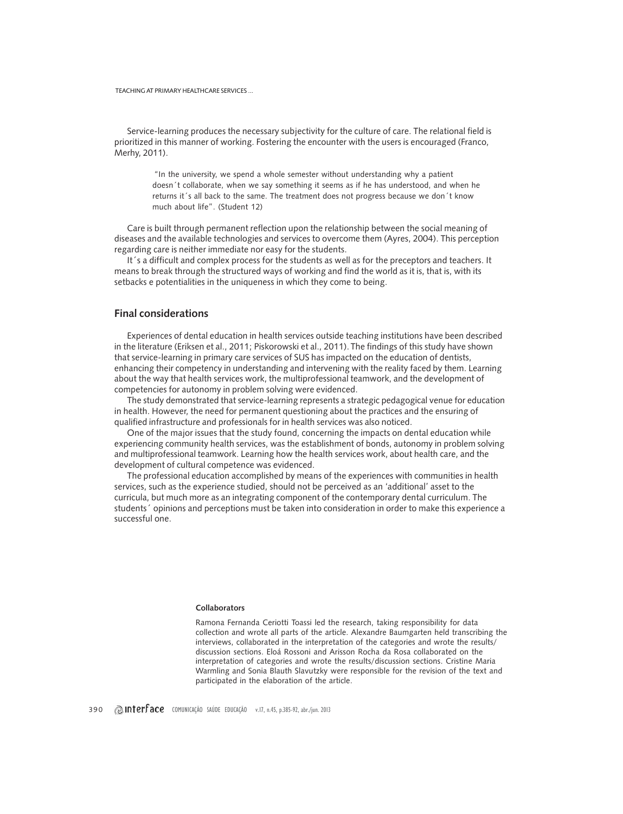TEACHING AT PRIMARY HEALTHCARE SERVICES ...

Service-learning produces the necessary subjectivity for the culture of care. The relational field is prioritized in this manner of working. Fostering the encounter with the users is encouraged (Franco, Merhy, 2011).

"In the university, we spend a whole semester without understanding why a patient doesn´t collaborate, when we say something it seems as if he has understood, and when he returns it's all back to the same. The treatment does not progress because we don't know much about life". (Student 12)

Care is built through permanent reflection upon the relationship between the social meaning of diseases and the available technologies and services to overcome them (Ayres, 2004). This perception regarding care is neither immediate nor easy for the students.

It´s a difficult and complex process for the students as well as for the preceptors and teachers. It means to break through the structured ways of working and find the world as it is, that is, with its setbacks e potentialities in the uniqueness in which they come to being.

# **Final considerations**

Experiences of dental education in health services outside teaching institutions have been described in the literature (Eriksen et al., 2011; Piskorowski et al., 2011).The findings of this study have shown that service-learning in primary care services of SUS has impacted on the education of dentists, enhancing their competency in understanding and intervening with the reality faced by them. Learning about the way that health services work, the multiprofessional teamwork, and the development of competencies for autonomy in problem solving were evidenced.

The study demonstrated that service-learning represents a strategic pedagogical venue for education in health. However, the need for permanent questioning about the practices and the ensuring of qualified infrastructure and professionals for in health services was also noticed.

One of the major issues that the study found, concerning the impacts on dental education while experiencing community health services, was the establishment of bonds, autonomy in problem solving and multiprofessional teamwork. Learning how the health services work, about health care, and the development of cultural competence was evidenced.

The professional education accomplished by means of the experiences with communities in health services, such as the experience studied, should not be perceived as an 'additional' asset to the curricula, but much more as an integrating component of the contemporary dental curriculum. The students´ opinions and perceptions must be taken into consideration in order to make this experience a successful one.

#### **Collaborators**

Ramona Fernanda Ceriotti Toassi led the research, taking responsibility for data collection and wrote all parts of the article. Alexandre Baumgarten held transcribing the interviews, collaborated in the interpretation of the categories and wrote the results/ discussion sections. Eloá Rossoni and Arisson Rocha da Rosa collaborated on the interpretation of categories and wrote the results/discussion sections. Cristine Maria Warmling and Sonia Blauth Slavutzky were responsible for the revision of the text and participated in the elaboration of the article.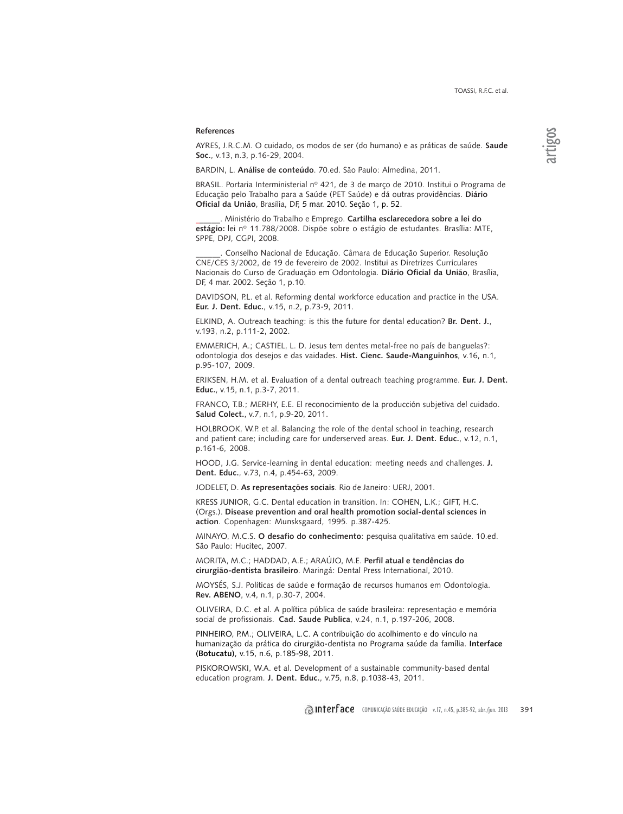#### **References**

AYRES, J.R.C.M. O cuidado, os modos de ser (do humano) e as práticas de saúde. **Saude Soc.**, v.13, n.3, p.16-29, 2004.

BARDIN, L. **Análise de conteúdo**. 70.ed. São Paulo: Almedina, 2011.

BRASIL. Portaria Interministerial nº 421, de 3 de março de 2010. Institui o Programa de Educação pelo Trabalho para a Saúde (PET Saúde) e dá outras providências. **Diário Oficial da União**, Brasília, DF, 5 mar. 2010. Seção 1, p. 52.

\_\_\_\_\_\_. Ministério do Trabalho e Emprego. **Cartilha esclarecedora sobre a lei do estágio:** lei nº 11.788/2008. Dispõe sobre o estágio de estudantes. Brasília: MTE, SPPE, DPJ, CGPI, 2008.

\_\_\_\_\_\_. Conselho Nacional de Educação. Câmara de Educação Superior. Resolução CNE/CES 3/2002, de 19 de fevereiro de 2002. Institui as Diretrizes Curriculares Nacionais do Curso de Graduação em Odontologia. **Diário Oficial da União**, Brasília, DF, 4 mar. 2002. Seção 1, p.10.

DAVIDSON, P.L. et al. Reforming dental workforce education and practice in the USA. **Eur. J. Dent. Educ.**, v.15, n.2, p.73-9, 2011.

ELKIND, A. Outreach teaching: is this the future for dental education? **Br. Dent. J.**, v.193, n.2, p.111-2, 2002.

EMMERICH, A.; CASTIEL, L. D. Jesus tem dentes metal-free no país de banguelas?: odontologia dos desejos e das vaidades. **Hist. Cienc. Saude-Manguinhos**, v.16, n.1, p.95-107, 2009.

ERIKSEN, H.M. et al. Evaluation of a dental outreach teaching programme. **Eur. J. Dent. Educ.**, v.15, n.1, p.3-7, 2011.

FRANCO, T.B.; MERHY, E.E. El reconocimiento de la producción subjetiva del cuidado. **Salud Colect.**, v.7, n.1, p.9-20, 2011.

HOLBROOK, W.P. et al. Balancing the role of the dental school in teaching, research and patient care; including care for underserved areas. **Eur. J. Dent. Educ.**, v.12, n.1, p.161-6, 2008.

HOOD, J.G. Service-learning in dental education: meeting needs and challenges. **J. Dent. Educ.**, v.73, n.4, p.454-63, 2009.

JODELET, D. **As representações sociais**. Rio de Janeiro: UERJ, 2001.

KRESS JUNIOR, G.C. Dental education in transition. In: COHEN, L.K.; GIFT, H.C. (Orgs.). **Disease prevention and oral health promotion social-dental sciences in action**. Copenhagen: Munsksgaard, 1995. p.387-425.

MINAYO, M.C.S. **O desafio do conhecimento**: pesquisa qualitativa em saúde. 10.ed. São Paulo: Hucitec, 2007.

MORITA, M.C.; HADDAD, A.E.; ARAÚJO, M.E. **Perfil atual e tendências do cirurgião-dentista brasileiro**. Maringá: Dental Press International, 2010.

MOYSÉS, S.J. Políticas de saúde e formação de recursos humanos em Odontologia. **Rev. ABENO**, v.4, n.1, p.30-7, 2004.

OLIVEIRA, D.C. et al. A política pública de saúde brasileira: representação e memória social de profissionais. **Cad. Saude Publica**, v.24, n.1, p.197-206, 2008.

PINHEIRO, P.M.; OLIVEIRA, L.C. A contribuição do acolhimento e do vínculo na humanização da prática do cirurgião-dentista no Programa saúde da família. **Interface (Botucatu)**, v.15, n.6, p.185-98, 2011.

PISKOROWSKI, W.A. et al. Development of a sustainable community-based dental education program. **J. Dent. Educ.**, v.75, n.8, p.1038-43, 2011.

**Interface** comunicação saúde educação v.17, n.45, p.385-92, abr./jun. 2013 391